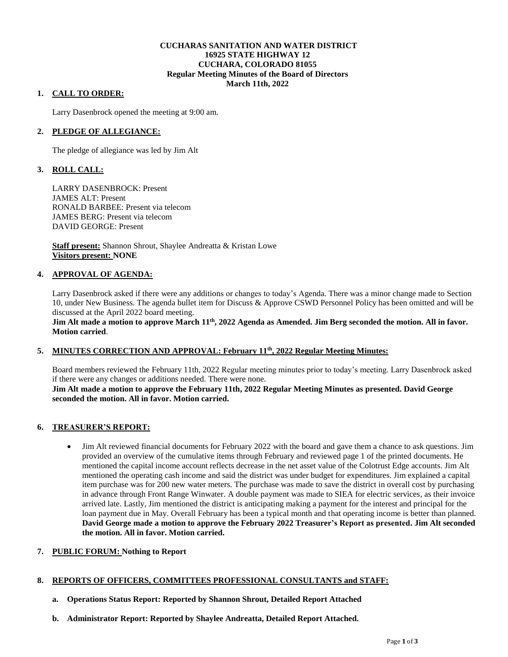## **CUCHARAS SANITATION AND WATER DISTRICT 16925 STATE HIGHWAY 12 CUCHARA, COLORADO 81055 Regular Meeting Minutes of the Board of Directors March 11th, 2022**

## **1. CALL TO ORDER:**

Larry Dasenbrock opened the meeting at 9:00 am.

## **2. PLEDGE OF ALLEGIANCE:**

The pledge of allegiance was led by Jim Alt

# **3. ROLL CALL:**

LARRY DASENBROCK: Present JAMES ALT: Present RONALD BARBEE: Present via telecom JAMES BERG: Present via telecom DAVID GEORGE: Present

**Staff present:** Shannon Shrout, Shaylee Andreatta & Kristan Lowe **Visitors present: NONE**

### **4. APPROVAL OF AGENDA:**

Larry Dasenbrock asked if there were any additions or changes to today's Agenda. There was a minor change made to Section 10, under New Business. The agenda bullet item for Discuss & Approve CSWD Personnel Policy has been omitted and will be discussed at the April 2022 board meeting.

**Jim Alt made a motion to approve March 11th, 2022 Agenda as Amended. Jim Berg seconded the motion. All in favor. Motion carried**.

## **5. MINUTES CORRECTION AND APPROVAL: February 11th, 2022 Regular Meeting Minutes:**

Board members reviewed the February 11th, 2022 Regular meeting minutes prior to today's meeting. Larry Dasenbrock asked if there were any changes or additions needed. There were none.

### **Jim Alt made a motion to approve the February 11th, 2022 Regular Meeting Minutes as presented. David George seconded the motion. All in favor. Motion carried.**

## **6. TREASURER'S REPORT:**

- Jim Alt reviewed financial documents for February 2022 with the board and gave them a chance to ask questions. Jim provided an overview of the cumulative items through February and reviewed page 1 of the printed documents. He mentioned the capital income account reflects decrease in the net asset value of the Colotrust Edge accounts. Jim Alt mentioned the operating cash income and said the district was under budget for expenditures. Jim explained a capital item purchase was for 200 new water meters. The purchase was made to save the district in overall cost by purchasing in advance through Front Range Winwater. A double payment was made to SIEA for electric services, as their invoice arrived late. Lastly, Jim mentioned the district is anticipating making a payment for the interest and principal for the loan payment due in May. Overall February has been a typical month and that operating income is better than planned. **David George made a motion to approve the February 2022 Treasurer's Report as presented. Jim Alt seconded the motion. All in favor. Motion carried.**
- **7. PUBLIC FORUM: Nothing to Report**

#### **8. REPORTS OF OFFICERS, COMMITTEES PROFESSIONAL CONSULTANTS and STAFF:**

- **a. Operations Status Report: Reported by Shannon Shrout, Detailed Report Attached**
- **b. Administrator Report: Reported by Shaylee Andreatta, Detailed Report Attached.**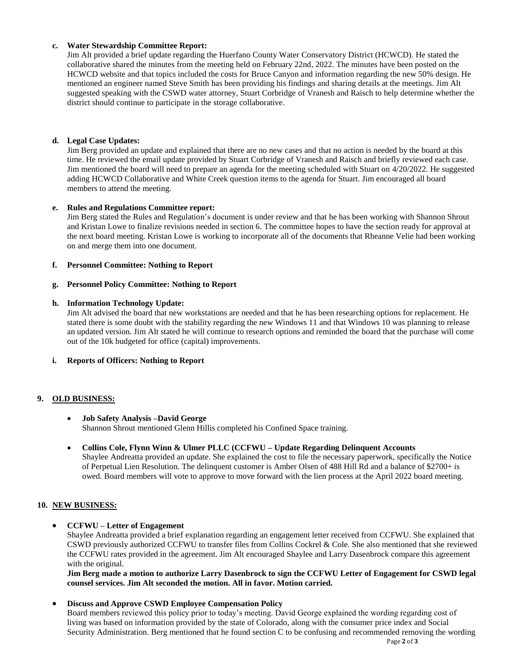## **c. Water Stewardship Committee Report:**

Jim Alt provided a brief update regarding the Huerfano County Water Conservatory District (HCWCD). He stated the collaborative shared the minutes from the meeting held on February 22nd, 2022. The minutes have been posted on the HCWCD website and that topics included the costs for Bruce Canyon and information regarding the new 50% design. He mentioned an engineer named Steve Smith has been providing his findings and sharing details at the meetings. Jim Alt suggested speaking with the CSWD water attorney, Stuart Corbridge of Vranesh and Raisch to help determine whether the district should continue to participate in the storage collaborative.

### **d. Legal Case Updates:**

Jim Berg provided an update and explained that there are no new cases and that no action is needed by the board at this time. He reviewed the email update provided by Stuart Corbridge of Vranesh and Raisch and briefly reviewed each case. Jim mentioned the board will need to prepare an agenda for the meeting scheduled with Stuart on 4/20/2022. He suggested adding HCWCD Collaborative and White Creek question items to the agenda for Stuart. Jim encouraged all board members to attend the meeting.

#### **e. Rules and Regulations Committee report:**

Jim Berg stated the Rules and Regulation's document is under review and that he has been working with Shannon Shrout and Kristan Lowe to finalize revisions needed in section 6. The committee hopes to have the section ready for approval at the next board meeting. Kristan Lowe is working to incorporate all of the documents that Rheanne Velie had been working on and merge them into one document.

### **f. Personnel Committee: Nothing to Report**

### **g. Personnel Policy Committee: Nothing to Report**

### **h. Information Technology Update:**

Jim Alt advised the board that new workstations are needed and that he has been researching options for replacement. He stated there is some doubt with the stability regarding the new Windows 11 and that Windows 10 was planning to release an updated version. Jim Alt stated he will continue to research options and reminded the board that the purchase will come out of the 10k budgeted for office (capital) improvements.

## **i. Reports of Officers: Nothing to Report**

## **9. OLD BUSINESS:**

#### **Job Safety Analysis –David George** Shannon Shrout mentioned Glenn Hillis completed his Confined Space training.

 **Collins Cole, Flynn Winn & Ulmer PLLC (CCFWU – Update Regarding Delinquent Accounts** Shaylee Andreatta provided an update. She explained the cost to file the necessary paperwork, specifically the Notice of Perpetual Lien Resolution. The delinquent customer is Amber Olsen of 488 Hill Rd and a balance of \$2700+ is owed. Board members will vote to approve to move forward with the lien process at the April 2022 board meeting.

#### **10. NEW BUSINESS:**

## **CCFWU – Letter of Engagement**

Shaylee Andreatta provided a brief explanation regarding an engagement letter received from CCFWU. She explained that CSWD previously authorized CCFWU to transfer files from Collins Cockrel & Cole. She also mentioned that she reviewed the CCFWU rates provided in the agreement. Jim Alt encouraged Shaylee and Larry Dasenbrock compare this agreement with the original.

**Jim Berg made a motion to authorize Larry Dasenbrock to sign the CCFWU Letter of Engagement for CSWD legal counsel services. Jim Alt seconded the motion. All in favor. Motion carried.** 

#### **Discuss and Approve CSWD Employee Compensation Policy**

Board members reviewed this policy prior to today's meeting. David George explained the wording regarding cost of living was based on information provided by the state of Colorado, along with the consumer price index and Social Security Administration. Berg mentioned that he found section C to be confusing and recommended removing the wording

Page **2** of **3**